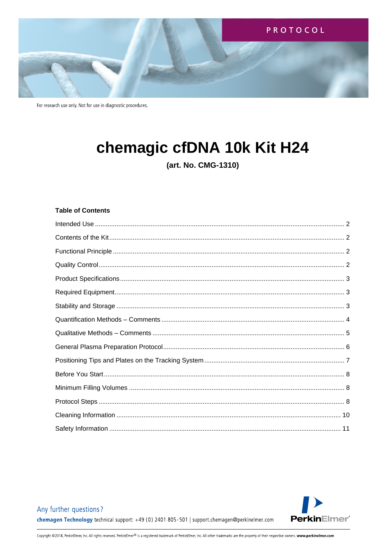

# chemagic cfDNA 10k Kit H24

(art. No. CMG-1310)

# **Table of Contents**

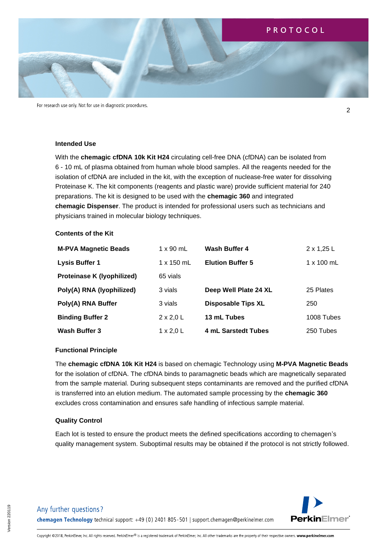

#### <span id="page-1-0"></span>**Intended Use**

With the **chemagic cfDNA 10k Kit H24** circulating cell-free DNA (cfDNA) can be isolated from 6 - 10 mL of plasma obtained from human whole blood samples. All the reagents needed for the isolation of cfDNA are included in the kit, with the exception of nuclease-free water for dissolving Proteinase K. The kit components (reagents and plastic ware) provide sufficient material for 240 preparations. The kit is designed to be used with the **chemagic 360** and integrated **chemagic Dispenser**. The product is intended for professional users such as technicians and physicians trained in molecular biology techniques.

#### <span id="page-1-1"></span>**Contents of the Kit**

| <b>M-PVA Magnetic Beads</b> | $1 \times 90$ mL  | Wash Buffer 4             | $2 \times 1,25$ L |
|-----------------------------|-------------------|---------------------------|-------------------|
| <b>Lysis Buffer 1</b>       | $1 \times 150$ mL | <b>Elution Buffer 5</b>   | $1 \times 100$ mL |
| Proteinase K (lyophilized)  | 65 vials          |                           |                   |
| Poly(A) RNA (lyophilized)   | 3 vials           | Deep Well Plate 24 XL     | 25 Plates         |
| Poly(A) RNA Buffer          | 3 vials           | <b>Disposable Tips XL</b> | 250               |
| <b>Binding Buffer 2</b>     | $2 \times 2,0$ L  | 13 mL Tubes               | 1008 Tubes        |
| Wash Buffer 3               | $1 \times 2,0$ L  | 4 mL Sarstedt Tubes       | 250 Tubes         |

#### <span id="page-1-2"></span>**Functional Principle**

The **chemagic cfDNA 10k Kit H24** is based on chemagic Technology using **M-PVA Magnetic Beads** for the isolation of cfDNA. The cfDNA binds to paramagnetic beads which are magnetically separated from the sample material. During subsequent steps contaminants are removed and the purified cfDNA is transferred into an elution medium. The automated sample processing by the **chemagic 360** excludes cross contamination and ensures safe handling of infectious sample material.

#### <span id="page-1-3"></span>**Quality Control**

Each lot is tested to ensure the product meets the defined specifications according to chemagen's quality management system. Suboptimal results may be obtained if the protocol is not strictly followed.



2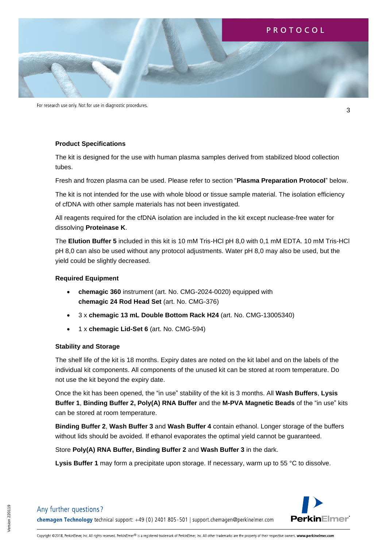

For research use only. Not for use in diagnostic procedures.

#### <span id="page-2-0"></span>**Product Specifications**

The kit is designed for the use with human plasma samples derived from stabilized blood collection tubes.

Fresh and frozen plasma can be used. Please refer to section "**Plasma Preparation Protocol**" below.

The kit is not intended for the use with whole blood or tissue sample material. The isolation efficiency of cfDNA with other sample materials has not been investigated.

All reagents required for the cfDNA isolation are included in the kit except nuclease-free water for dissolving **Proteinase K**.

The **Elution Buffer 5** included in this kit is 10 mM Tris-HCl pH 8,0 with 0,1 mM EDTA. 10 mM Tris-HCl pH 8,0 can also be used without any protocol adjustments. Water pH 8,0 may also be used, but the yield could be slightly decreased.

#### <span id="page-2-1"></span>**Required Equipment**

- **chemagic 360** instrument (art. No. CMG-2024-0020) equipped with **chemagic 24 Rod Head Set** (art. No. CMG-376)
- 3 x **chemagic 13 mL Double Bottom Rack H24** (art. No. CMG-13005340)
- 1 x **chemagic Lid-Set 6** (art. No. CMG-594)

#### <span id="page-2-2"></span>**Stability and Storage**

The shelf life of the kit is 18 months. Expiry dates are noted on the kit label and on the labels of the individual kit components. All components of the unused kit can be stored at room temperature. Do not use the kit beyond the expiry date.

Once the kit has been opened, the "in use" stability of the kit is 3 months. All **Wash Buffers**, **Lysis Buffer 1**, **Binding Buffer 2, Poly(A) RNA Buffer** and the **M-PVA Magnetic Beads** of the "in use" kits can be stored at room temperature.

**Binding Buffer 2**, **Wash Buffer 3** and **Wash Buffer 4** contain ethanol. Longer storage of the buffers without lids should be avoided. If ethanol evaporates the optimal yield cannot be guaranteed.

Store **Poly(A) RNA Buffer, Binding Buffer 2** and **Wash Buffer 3** in the dark.

**Lysis Buffer 1** may form a precipitate upon storage. If necessary, warm up to 55 °C to dissolve.



3

Any further questions?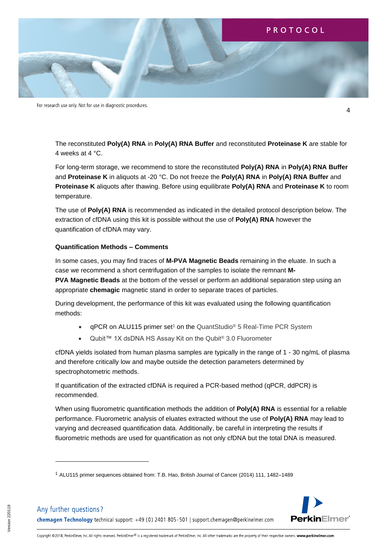

The reconstituted **Poly(A) RNA** in **Poly(A) RNA Buffer** and reconstituted **Proteinase K** are stable for 4 weeks at 4 °C.

For long-term storage, we recommend to store the reconstituted **Poly(A) RNA** in **Poly(A) RNA Buffer**  and **Proteinase K** in aliquots at -20 °C. Do not freeze the **Poly(A) RNA** in **Poly(A) RNA Buffer** and **Proteinase K** aliquots after thawing. Before using equilibrate **Poly(A) RNA** and **Proteinase K** to room temperature.

The use of **Poly(A) RNA** is recommended as indicated in the detailed protocol description below. The extraction of cfDNA using this kit is possible without the use of **Poly(A) RNA** however the quantification of cfDNA may vary.

#### <span id="page-3-0"></span>**Quantification Methods – Comments**

In some cases, you may find traces of **M-PVA Magnetic Beads** remaining in the eluate. In such a case we recommend a short centrifugation of the samples to isolate the remnant **M-**

**PVA Magnetic Beads** at the bottom of the vessel or perform an additional separation step using an appropriate **chemagic** magnetic stand in order to separate traces of particles.

During development, the performance of this kit was evaluated using the following quantification methods:

- qPCR on ALU115 primer set<sup>1</sup> on the QuantStudio<sup>®</sup> 5 Real-Time PCR System
- Qubit™ 1X dsDNA HS Assay Kit on the Qubit® 3.0 Fluorometer

cfDNA yields isolated from human plasma samples are typically in the range of 1 - 30 ng/mL of plasma and therefore critically low and maybe outside the detection parameters determined by spectrophotometric methods.

If quantification of the extracted cfDNA is required a PCR-based method (qPCR, ddPCR) is recommended.

When using fluorometric quantification methods the addition of **Poly(A) RNA** is essential for a reliable performance. Fluorometric analysis of eluates extracted without the use of **Poly(A) RNA** may lead to varying and decreased quantification data. Additionally, be careful in interpreting the results if fluorometric methods are used for quantification as not only cfDNA but the total DNA is measured.

<sup>1</sup> ALU115 primer sequences obtained from: T.B. Hao, British Journal of Cancer (2014) 111, 1482–1489



4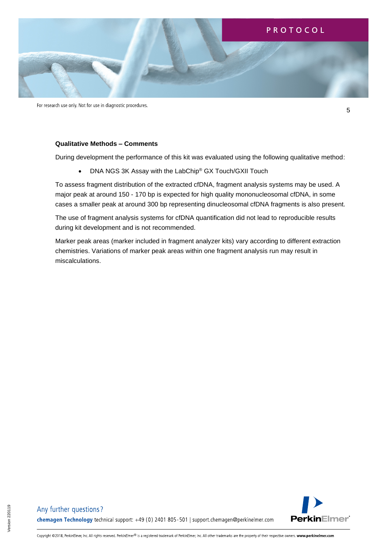

For research use only. Not for use in diagnostic procedures.

#### <span id="page-4-0"></span>**Qualitative Methods – Comments**

During development the performance of this kit was evaluated using the following qualitative method:

• DNA NGS 3K Assay with the LabChip® GX Touch/GXII Touch

To assess fragment distribution of the extracted cfDNA, fragment analysis systems may be used. A major peak at around 150 - 170 bp is expected for high quality mononucleosomal cfDNA, in some cases a smaller peak at around 300 bp representing dinucleosomal cfDNA fragments is also present.

The use of fragment analysis systems for cfDNA quantification did not lead to reproducible results during kit development and is not recommended.

Marker peak areas (marker included in fragment analyzer kits) vary according to different extraction chemistries. Variations of marker peak areas within one fragment analysis run may result in miscalculations.



5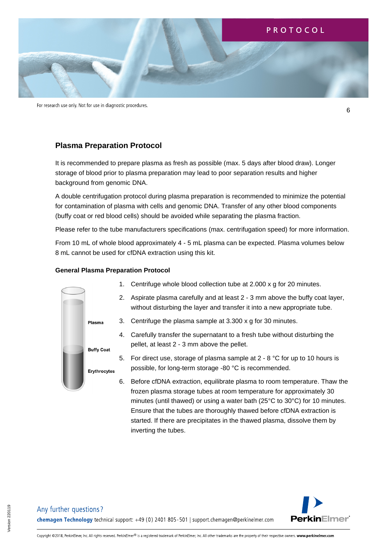

For research use only. Not for use in diagnostic procedures.

# **Plasma Preparation Protocol**

It is recommended to prepare plasma as fresh as possible (max. 5 days after blood draw). Longer storage of blood prior to plasma preparation may lead to poor separation results and higher background from genomic DNA.

A double centrifugation protocol during plasma preparation is recommended to minimize the potential for contamination of plasma with cells and genomic DNA. Transfer of any other blood components (buffy coat or red blood cells) should be avoided while separating the plasma fraction.

Please refer to the tube manufacturers specifications (max. centrifugation speed) for more information.

From 10 mL of whole blood approximately 4 - 5 mL plasma can be expected. Plasma volumes below 8 mL cannot be used for cfDNA extraction using this kit.

#### <span id="page-5-0"></span>**General Plasma Preparation Protocol**

- Plasma **Buffy Coat** Erythrocytes
- 1. Centrifuge whole blood collection tube at 2.000 x g for 20 minutes.
- 2. Aspirate plasma carefully and at least 2 3 mm above the buffy coat layer, without disturbing the layer and transfer it into a new appropriate tube.
- 3. Centrifuge the plasma sample at 3.300 x g for 30 minutes.
	- 4. Carefully transfer the supernatant to a fresh tube without disturbing the pellet, at least 2 - 3 mm above the pellet.
	- 5. For direct use, storage of plasma sample at 2 8 °C for up to 10 hours is possible, for long-term storage -80 °C is recommended.
	- 6. Before cfDNA extraction, equilibrate plasma to room temperature. Thaw the frozen plasma storage tubes at room temperature for approximately 30 minutes (until thawed) or using a water bath (25°C to 30°C) for 10 minutes. Ensure that the tubes are thoroughly thawed before cfDNA extraction is started. If there are precipitates in the thawed plasma, dissolve them by inverting the tubes.



6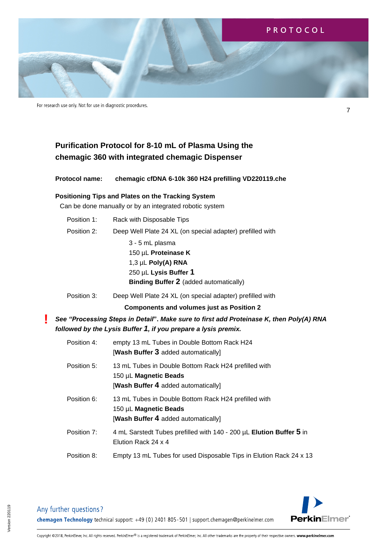

# **Purification Protocol for 8-10 mL of Plasma Using the chemagic 360 with integrated chemagic Dispenser**

**Protocol name: chemagic cfDNA 6-10k 360 H24 prefilling VD220119.che**

# <span id="page-6-0"></span>**Positioning Tips and Plates on the Tracking System**

Can be done manually or by an integrated robotic system

| Position 1: | Rack with Disposable Tips                                                                                                                                 |  |
|-------------|-----------------------------------------------------------------------------------------------------------------------------------------------------------|--|
| Position 2: | Deep Well Plate 24 XL (on special adapter) prefilled with                                                                                                 |  |
|             | 3 - 5 mL plasma<br>150 µL Proteinase K<br>1,3 µL Poly(A) RNA<br>250 µL Lysis Buffer 1<br><b>Binding Buffer 2</b> (added automatically)                    |  |
| Position 3: | Deep Well Plate 24 XL (on special adapter) prefilled with                                                                                                 |  |
|             | <b>Components and volumes just as Position 2</b>                                                                                                          |  |
|             | See "Processing Steps in Detail". Make sure to first add Proteinase K, then Poly(A) RNA<br>followed by the Lysis Buffer 1, if you prepare a lysis premix. |  |
| Position 4: | empty 13 mL Tubes in Double Bottom Rack H24<br>[Wash Buffer 3 added automatically]                                                                        |  |
| Position 5: | 13 mL Tubes in Double Bottom Rack H24 prefilled with<br>150 µL Magnetic Beads<br>[Wash Buffer 4 added automatically]                                      |  |
| Position 6: | 13 mL Tubes in Double Bottom Rack H24 prefilled with<br>150 µL Magnetic Beads<br>[Wash Buffer 4 added automatically]                                      |  |
| Position 7: | 4 mL Sarstedt Tubes prefilled with 140 - 200 µL Elution Buffer 5 in<br>Elution Rack 24 x 4                                                                |  |
| Position 8: | Empty 13 mL Tubes for used Disposable Tips in Elution Rack 24 x 13                                                                                        |  |



Any further questions?

**!**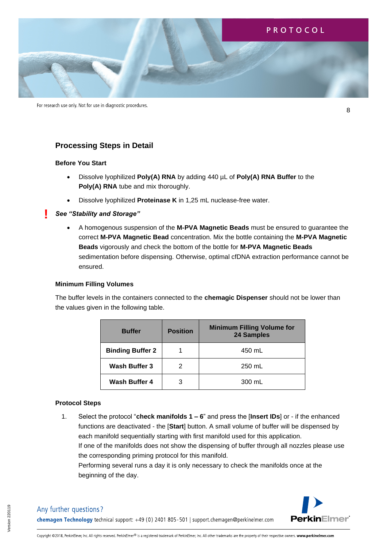

For research use only. Not for use in diagnostic procedures.

# **Processing Steps in Detail**

#### <span id="page-7-0"></span>**Before You Start**

**!**

- Dissolve lyophilized **Poly(A) RNA** by adding 440 µL of **Poly(A) RNA Buffer** to the **Poly(A) RNA** tube and mix thoroughly.
- Dissolve lyophilized **Proteinase K** in 1,25 mL nuclease-free water.

#### *See "Stability and Storage"*

• A homogenous suspension of the **M-PVA Magnetic Beads** must be ensured to guarantee the correct **M-PVA Magnetic Bead** concentration. Mix the bottle containing the **M-PVA Magnetic Beads** vigorously and check the bottom of the bottle for **M-PVA Magnetic Beads** sedimentation before dispensing. Otherwise, optimal cfDNA extraction performance cannot be ensured.

#### <span id="page-7-1"></span>**Minimum Filling Volumes**

The buffer levels in the containers connected to the **chemagic Dispenser** should not be lower than the values given in the following table.

| <b>Buffer</b>           | <b>Position</b> | <b>Minimum Filling Volume for</b><br>24 Samples |
|-------------------------|-----------------|-------------------------------------------------|
| <b>Binding Buffer 2</b> |                 | 450 mL                                          |
| Wash Buffer 3           | 2               | 250 mL                                          |
| Wash Buffer 4           | з               | 300 mL                                          |

#### <span id="page-7-2"></span>**Protocol Steps**

1. Select the protocol "**check manifolds 1 – 6**" and press the [**Insert IDs**] or - if the enhanced functions are deactivated - the [**Start**] button. A small volume of buffer will be dispensed by each manifold sequentially starting with first manifold used for this application. If one of the manifolds does not show the dispensing of buffer through all nozzles please use the corresponding priming protocol for this manifold. Performing several runs a day it is only necessary to check the manifolds once at the beginning of the day.

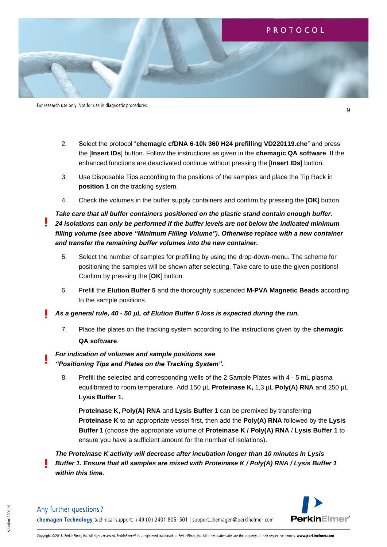

- 2. Select the protocol "**chemagic cfDNA 6-10k 360 H24 prefilling VD220119.che**" and press the [**Insert IDs**] button. Follow the instructions as given in the **chemagic QA software**. If the enhanced functions are deactivated continue without pressing the [**Insert IDs**] button.
- 3. Use Disposable Tips according to the positions of the samples and place the Tip Rack in **position 1** on the tracking system.
- 4. Check the volumes in the buffer supply containers and confirm by pressing the [**OK**] button.

*Take care that all buffer containers positioned on the plastic stand contain enough buffer. 24 isolations can only be performed if the buffer levels are not below the indicated minimum filling volume (see above "Minimum Filling Volume"). Otherwise replace with a new container and transfer the remaining buffer volumes into the new container.*

- 5. Select the number of samples for prefilling by using the drop-down-menu. The scheme for positioning the samples will be shown after selecting. Take care to use the given positions! Confirm by pressing the [**OK**] button.
- 6. Prefill the **Elution Buffer 5** and the thoroughly suspended **M-PVA Magnetic Beads** according to the sample positions.

*As a general rule, 40 - 50 μL of Elution Buffer 5 loss is expected during the run.* **!**

7. Place the plates on the tracking system according to the instructions given by the **chemagic QA software**.

# *For indication of volumes and sample positions see "Positioning Tips and Plates on the Tracking System".*

8. Prefill the selected and corresponding wells of the 2 Sample Plates with 4 - 5 mL plasma equilibrated to room temperature. Add 150 µL **Proteinase K,** 1,3 µL **Poly(A) RNA** and 250 µL **Lysis Buffer 1.**

**Proteinase K, Poly(A) RNA** and **Lysis Buffer 1** can be premixed by transferring **Proteinase K** to an appropriate vessel first, then add the **Poly(A) RNA** followed by the **Lysis Buffer 1** (choose the appropriate volume of **Proteinase K / Poly(A) RNA** / **Lysis Buffer 1** to ensure you have a sufficient amount for the number of isolations).

*The Proteinase K activity will decrease after incubation longer than 10 minutes in Lysis Buffer 1. Ensure that all samples are mixed with Proteinase K / Poly(A) RNA / Lysis Buffer 1 within this time.* **!**



9

**!**

**!**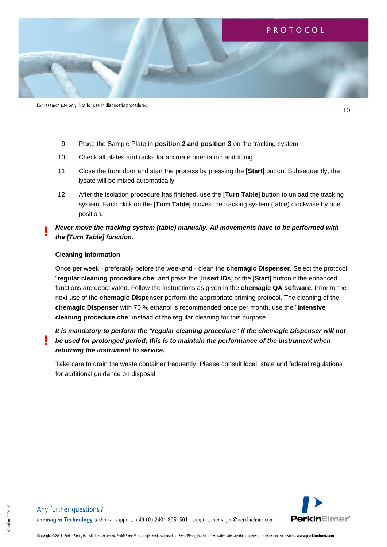

10

- 9. Place the Sample Plate in **position 2 and position 3** on the tracking system.
- 10. Check all plates and racks for accurate orientation and fitting.
- 11. Close the front door and start the process by pressing the [**Start**] button. Subsequently, the lysate will be mixed automatically.
- 12. After the isolation procedure has finished, use the [**Turn Table**] button to unload the tracking system. Each click on the [**Turn Table**] moves the tracking system (table) clockwise by one position.
- *Never move the tracking system (table) manually. All movements have to be performed with the [Turn Table] function*. **!**

#### <span id="page-9-0"></span>**Cleaning Information**

**!**

Once per week - preferably before the weekend - clean the **chemagic Dispenser**. Select the protocol "**regular cleaning procedure.che**" and press the [**Insert IDs**] or the [**Start**] button if the enhanced functions are deactivated. Follow the instructions as given in the **chemagic QA software**. Prior to the next use of the **chemagic Dispenser** perform the appropriate priming protocol. The cleaning of the **chemagic Dispenser** with 70 % ethanol is recommended once per month, use the "**intensive cleaning procedure.che**" instead of the regular cleaning for this purpose.

# *It is mandatory to perform the "regular cleaning procedure" if the chemagic Dispenser will not be used for prolonged period; this is to maintain the performance of the instrument when returning the instrument to service.*

Take care to drain the waste container frequently. Please consult local, state and federal regulations for additional guidance on disposal.